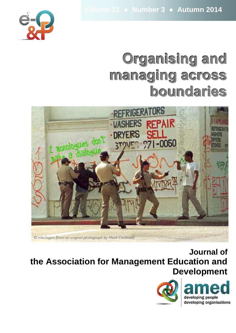

# **Organising and managing across boundaries**



**Journal of the Association for Management Education and Development**

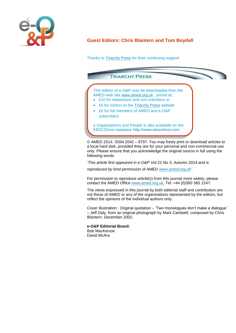

# **Guest Editors: Chris Blantern and Tom Boydell**

Thanks to **Triarchy Press** for their continuing support.



© AMED 2014. ISSN 2042 – 9797. You may freely print or download articles to a local hard disk, provided they are for your personal and non-commercial use only. Please ensure that you acknowledge the original source in full using the following words

*'This article first appeared in e-O&P Vol 21 No 3, Autumn 2014 and is* 

*reproduced by kind permission of AMED [www.amed.org.uk'.](http://www.amed.org.uk/)*

For permission to reproduce article(s) from this journal more widely, please contact the AMED Office [www.amed.org.uk,](http://www.amed.org.uk/) Tel: +44 (0)300 365 1247.

The views expressed in this journal by both editorial staff and contributors are not those of AMED or any of the organisations represented by the editors, but reflect the opinions of the individual authors only.

Cover illustration:. Original quotation – 'Two monologues don't make a dialogue' – Jeff Daly, from an original photograph by Mark Cardwell, composed by Chris Blantern, December 2002.

**e-O&P Editorial Board:** Bob MacKenzie David McAra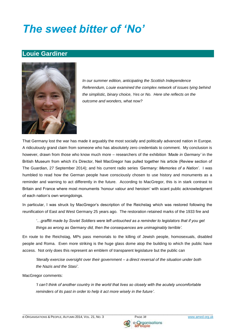# *The sweet bitter of 'No'*

# **Louie Gardiner**



*In our summer edition, anticipating the Scottish Independence Referendum, Louie examined the complex network of issues lying behind the simplistic, binary choice, Yes or No. Here she reflects on the outcome and wonders, what now?* 

That Germany lost the war has made it arguably the most socially and politically advanced nation in Europe. A ridiculously grand claim from someone who has absolutely zero credentials to comment. My conclusion is however, drawn from those who know much more – researchers of the exhibition *'Made in Germany'* in the British Museum from which it's Director, Neil MacGregor has pulled together his article (Review section of The Guardian, 27 September 2014); and his current radio series *'Germany: Memories of a Nation'*. I was humbled to read how the German people have consciously chosen to use history and monuments as a reminder and warning to act differently in the future. According to MacGregor, this is in stark contrast to Britain and France where most monuments 'honour valour and heroism' with scant public acknowledgment of each nation's own wrongdoings.

In particular, I was struck by MacGregor's description of the Reichstag which was restored following the reunification of East and West Germany 25 years ago. The restoration retained marks of the 1933 fire and

*'…graffiti made by Soviet Soldiers were left untouched as a reminder to legislators that if you get things as wrong as Germany did, then the consequences are unimaginably terrible'.* 

En route to the Reichstag, MPs pass memorials to the killing of Jewish people, homosexuals, disabled people and Roma. Even more striking is the huge glass dome atop the building to which the public have access. Not only does this represent an emblem of transparent legislature but the public can

*'literally exercise oversight over their government – a direct reversal of the situation under both the Nazis and the Stasi'.* 

MacGregor comments:

*'I can't think of another country in the world that lives so closely with the acutely uncomfortable reminders of its past in order to help it act more wisely in the future'.* 

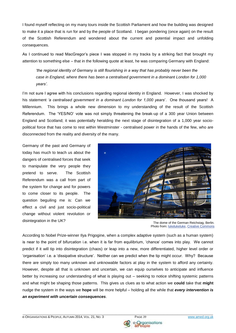I found myself reflecting on my many tours inside the Scottish Parliament and how the building was designed to make it a place that is run for and by the people of Scotland. I began pondering (once again) on the result of the Scottish Referendum and wondered about the current and potential impact and unfolding consequences.

As I continued to read MacGregor's piece I was stopped in my tracks by a striking fact that brought my attention to something else – that in the following quote at least, he was comparing Germany with England:

*'the regional identity of Germany is still flourishing in a way that has probably never been the case in England, where there has been a centralised government in a dominant London for 1,000 years'.* 

I'm not sure I agree with his conclusions regarding regional identity in England. However, I was shocked by his statement *'a centralised government in a dominant London for 1,000 years*'. One thousand years! A Millennium. This brings a whole new dimension to my understanding of the result of the Scottish Referendum. The 'YES/NO' vote was not simply threatening the break-up of a 300 year Union between England and Scotland; it was potentially heralding the next stage of disintegration of a 1,000 year sociopolitical force that has come to rest within Westminster - centralised power in the hands of the few, who are disconnected from the reality and diversity of the many.

Germany of the past and Germany of today has much to teach us about the dangers of centralised forces that seek to manipulate the very people they pretend to serve. The Scottish Referendum was a call from part of the system for change and for powers to come closer to its people. The question beguiling me is: Can we effect a civil and just socio-political change without violent revolution or disintegration in the UK? **The dome of the German Reichstag, Berlin.** 



Photo from: [lukelukeluke,](http://www.flickr.com/photos/80755490@N00/525045088/) [Creative Commons](http://creativecommons.org/licenses/by/2.0/deed.en)

According to Nobel Prize-winner Ilya Prigogine, when a complex adaptive system (such as a human system) is near to the point of bifurcation i.e. when it is far from equilibrium, 'chance' comes into play. We cannot predict if it will tip into disintegration (chaos) or leap into a new, more differentiated, higher level order or 'organisation' i.e. a 'dissipative structure'. Neither can we predict when the tip might occur. Why? Because there are simply too many unknown and unknowable factors at play in the system to afford any certainty. However, despite all that is unknown and uncertain, we can equip ourselves to anticipate and influence better by increasing our understanding of what is playing out – seeking to notice shifting systemic patterns and what might be shaping those patterns. This gives us clues as to what action we **could** take that **might** nudge the system in the ways we **hope** will be more helpful – holding all the while that *every intervention is an experiment with uncertain consequences*.



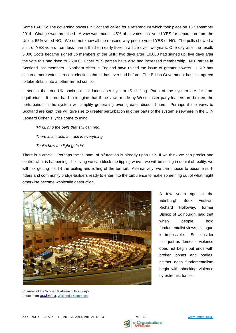Some FACTS: The governing powers in Scotland called for a referendum which took place on 18 September 2014. Change was promised. A vow was made. 45% of all votes cast voted YES for separation from the Union. 55% voted NO. We do not know all the reasons why people voted YES or NO. The polls showed a shift of YES voters from less than a third to nearly 50% in a little over two years. One day after the result, 5,000 Scots became signed up members of the SNP; two days after, 10,000 had signed up; five days after the vote this had risen to 26,000. Other YES parties have also had increased membership. NO Parties in Scotland lost members. Northern cities in England have raised the issue of greater powers. UKIP has secured more votes in recent elections than it has ever had before. The British Government has just agreed to take Britain into another armed conflict.

It seems that our UK socio-political landscape/ system IS shifting. Parts of the system are far from equilibrium. It is not hard to imagine that if the vows made by Westminster party leaders are broken, the perturbation in the system will amplify generating even greater disequilibrium. Perhaps if the vows to Scotland are kept, this will give rise to greater perturbation in other parts of the system elsewhere in the UK? Leonard Cohen's lyrics come to mind:

*'Ring, ring the bells that still can ring. There is a crack, a crack in everything. That's how the light gets in'.*

There is a crack. Perhaps the tsunami of bifurcation is already upon us? If we think we can predict and control what is happening - believing we can block the tipping wave - we will be sitting in denial of reality; we will risk getting lost IN the boiling and roiling of the turmoil. Alternatively, we can choose to become surfriders and community bridge-builders ready to enter into the turbulence to make something out of what might otherwise become wholesale destruction.



Chamber of the Scottish Parliament, Edinburgh Photo from: [pschemp](http://commons.wikimedia.org/wiki/User:Pschemp), [Wikimedia Commons](http://commons.wikimedia.org/wiki/File:Debating_chamber,_Scottish_Parliament_(31-05-2006).jpg)

A few years ago at the Edinburgh Book Festival, Richard Holloway, former Bishop of Edinburgh, said that when people hold fundamentalist views, dialogue is impossible. So consider this: just as domestic violence does not begin but ends with broken bones and bodies, neither does fundamentalism begin with shocking violence by extremist forces.



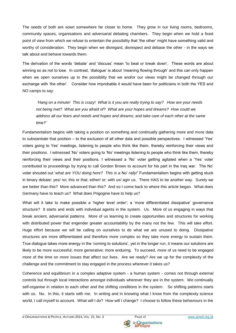The seeds of both are sown somewhere far closer to home. They grow in our living rooms, bedrooms, community spaces, organisations and adversarial debating chambers. They begin when we hold a fixed point of view from which we refuse to entertain the possibility that 'the other' might have something valid and worthy of consideration. They begin when we disregard, disrespect and debase the other - in the ways we talk about and behave towards them.

The derivation of the words 'debate' and 'discuss' mean 'to beat or break down'. These words are about winning so as not to lose. In contrast, 'dialogue' is about 'meaning flowing through' and this can only happen when we open ourselves up to the possibility that we and/or our views might be changed through our exchange with 'the other'. Consider how improbable it would have been for politicians in both the YES and NO camps to say:

*'Hang on a minute! This is crazy! What is it you are really trying to say? How are your needs not being met? What are you afraid of? What are your hopes and dreams? How could we address all our fears and needs and hopes and dreams; and take care of each other at the same time?'* 

Fundamentalism begins with taking a position on something and continually gathering more and more data to substantiate that position – to the exclusion of all other data and possible perspectives. I witnessed 'Yes' voters going to Yes' meetings, listening to people who think like them, thereby reinforcing their views and their positions. I witnessed 'No' voters going to 'No' meetings listening to people who think like them, thereby reinforcing their views and their positions. I witnessed a 'No' voter getting agitated when a 'Yes' voter contributed to proceedings by trying to call Gordon Brown to account for his part in the Iraq war. The No' voter shouted out '*what are YOU doing here? This is a* No' *rally!*' Fundamentalism begins with getting stuck in binary debate: yes/ no; this or that; either/ or; with us/ agin us. There HAS to be another way. Surely we are better than this? More advanced than this? And so I come back to where this article began. What does Germany have to teach us? What does Prigogine have to help us?

What will it take to make possible a 'higher level order'; a 'more differentiated dissipative' governance structure? It starts and ends with individual agents in the system. Us. More of us engaging in ways that break ancient, adversarial patterns. More of us learning to create opportunities and structures for working with distributed power that engender greater accountability by the many not the few. This will take effort. Huge effort because we will be calling on ourselves to do what we are unused to doing. Dissipative structures are more differentiated and therefore more complex so they take more energy to sustain them. True dialogue takes more energy in the 'coming to solutions', yet in the longer run, it means our solutions are likely to be more successful; more generative; more enduring. To succeed, *more* of us need to be engaged *more* of the time on *more* issues that affect our lives. Are we ready? Are we up for the complexity of the challenge and the commitment to stay engaged in the process wherever it takes us?

Coherence and equilibrium in a complex adaptive system - a human system - comes not through external controls but through local interactions amongst individuals wherever they are in the system. We continually self-organise in relation to each other and the shifting conditions in the system. So shifting patterns starts with us. No. In this, it starts with me. In writing and in knowing what I know from the complexity science world, I call myself to account. What will I do? How will I change? I choose to follow these behaviours in the

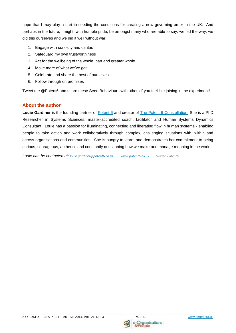hope that I may play a part in seeding the conditions for creating a new governing order in the UK. And perhaps in the future, I might, with humble pride, be amongst many who are able to say: we led the way, we did this ourselves and we did it well without war:

- 1. Engage with curiosity and caritas
- 2. Safeguard my own trustworthiness
- 3. Act for the wellbeing of the whole, part and greater whole
- 4. Make more of what we've got
- 5. Celebrate and share the best of ourselves
- 6. Follow through on promises

Tweet me @Potent6 and share these Seed Behaviours with others if you feel like joining in the experiment!

## **About the author**

Louie Gardiner is the founding partner of **Potent 6** and creator of **The [Potent 6](http://www.potent6.co.uk/) Constellation**. She is a PhD Researcher in Systems Sciences, master-accredited coach, facilitator and Human Systems Dynamics Consultant. Louie has a passion for illuminating, connecting and liberating flow in human systems - enabling people to take action and work collaboratively through complex, challenging situations with, within and across organisations and communities. She is hungry to learn, and demonstrates her commitment to being curious, courageous, authentic and constantly questioning how we make and manage meaning in the world.

*Louie can be contacted at: [louie.gardiner@potent6.co.uk](mailto:louie.gardiner@potent6.co.uk) [www.potent6.co.uk](http://www.potent6.co.uk/) twitter: Potent6*

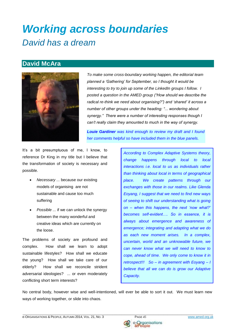# *Working across boundaries David has a dream*

# **David McAra**



*To make some cross-boundary working happen, the editorial team planned a 'Gathering' for September, so I thought it would be interesting to try to join up some of the LinkedIn groups I follow. I posted a question in the AMED group ("How should we describe the radical re-think we need about organising?") and 'shared' it across a number of other groups under the heading: "... wondering about synergy." There were a number of interesting responses though I can't really claim they amounted to much in the way of synergy.* 

*Louie Gardiner was kind enough to review my draft and I found her comments helpful so have included them in the blue panels.* 

It's a bit presumptuous of me, I know, to reference Dr King in my title but I believe that the transformation of society is necessary and possible.

- *Necessary ...* because our existing models of organising are not sustainable and cause too much suffering
- *Possible ...* if we can unlock the synergy between the many wonderful and creative ideas which are currently on the loose.

The problems of society are profound and complex. How shall we learn to adopt sustainable lifestyles? How shall we educate the young? How shall we take care of our elderly? How shall we reconcile strident adversarial ideologies? ... or even moderately conflicting short term interests?

*According to Complex Adaptive Systems theory, change happens through local to local interactions i.e. local to us as individuals rather than thinking about local in terms of geographical place. We create patterns through our exchanges with those in our realms. Like Glenda Eoyang, I suggest that we need to find new ways of seeing to shift our understanding what is going on – when this happens, the next 'now what?' becomes self-evident…. So in essence, it is always about emergence and awareness of emergence; integrating and adapting what we do as each new moment arises. In a complex, uncertain, world and an unknowable future, we can never know what we will need to know to cope, ahead of time. We only come to know it in retrospect!!! So – in agreement with Eoyang – I believe that all we can do is grow our Adaptive Capacity.* 

No central body, however wise and well-intentioned, will ever be able to sort it out. We must learn new ways of working together, or slide into chaos.



Organisations iple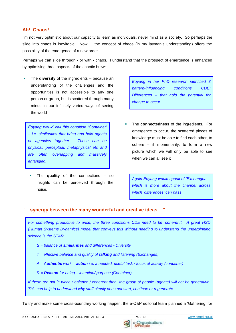## **Ah! Chaos!**

I'm not very optimistic about our capacity to learn as individuals, never mind as a society. So perhaps the slide into chaos is inevitable. Now ... the concept of chaos (in my layman's understanding) offers the possibility of the emergence of a new order.

Perhaps we can slide through - or with - chaos. I understand that the prospect of emergence is enhanced by optimising three aspects of the chaotic brew:

 The **diversity** of the ingredients – because an understanding of the challenges and the opportunities is not accessible to any one person or group, but is scattered through many minds in our infinitely varied ways of seeing the world

*Eoyang would call this condition 'Container' – i.e. similarities that bring and hold agents or agencies together. These can be physical, perceptual, metaphysical etc and are often overlapping and massively entangled.*

 The **quality** of the connections – so insights can be perceived through the noise.

*Eoyang in her PhD research identified 3 pattern-influencing conditions CDE: Differences – that hold the potential for change to occur*

 The **connectedness** of the ingredients. For emergence to occur, the scattered pieces of knowledge must be able to find each other, to cohere – if momentarily, to form a new picture which we will only be able to see when we can all see it

*Again Eoyang would speak of 'Exchanges' – which is more about the channel across which 'differences' can pass*

### **"... synergy between the many wonderful and creative ideas ..."**

*For something productive to arise, the three conditions CDE need to be 'coherent'. A great HSD (Human Systems Dynamics) model that conveys this without needing to understand the underpinning science is the STAR*

- *S = balance of similarities and differences - Diversity*
- *T = effective balance and quality of talking and listening (Exchanges)*
- *A = Authentic work = action i.e. a needed, useful task / focus of activity (container)*

*R = Reason for being – intention/ purpose (Container)*

*If these are not in place / balance / coherent then the group of people (agents) will not be generative. This can help to understand why stuff simply does not start, continue or regenerate.* 

To try and make some cross-boundary working happen, the e-O&P editorial team planned a 'Gathering' for